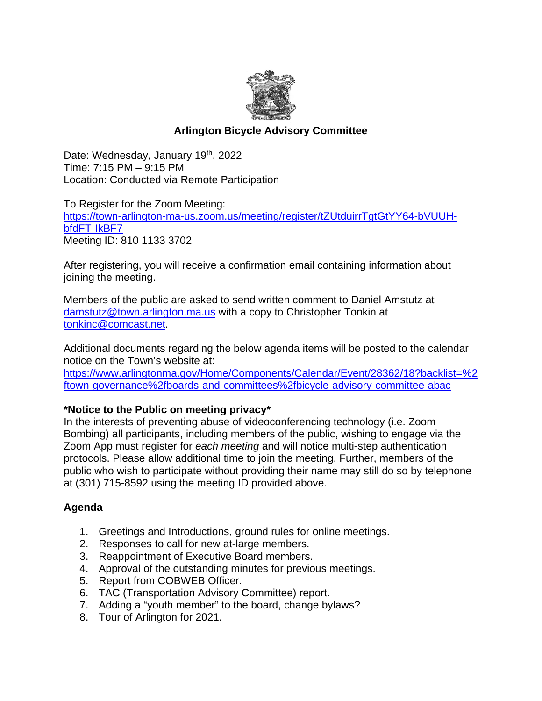

# **Arlington Bicycle Advisory Committee**

Date: Wednesday, January 19<sup>th</sup>, 2022 Time: 7:15 PM – 9:15 PM Location: Conducted via Remote Participation

To Register for the Zoom Meeting: [https://town-arlington-ma-us.zoom.us/meeting/register/tZUtduirrTgtGtYY64-bVUUH](https://town-arlington-ma-us.zoom.us/meeting/register/tZUtduirrTgtGtYY64-bVUUH-bfdFT-IkBF7)[bfdFT-IkBF7](https://town-arlington-ma-us.zoom.us/meeting/register/tZUtduirrTgtGtYY64-bVUUH-bfdFT-IkBF7) Meeting ID: 810 1133 3702

After registering, you will receive a confirmation email containing information about joining the meeting.

Members of the public are asked to send written comment to Daniel Amstutz at [damstutz@town.arlington.ma.us](mailto:damstutz@town.arlington.ma.us) with a copy to Christopher Tonkin at [tonkinc@comcast.net.](mailto:tonkinc@comcast.net)

Additional documents regarding the below agenda items will be posted to the calendar notice on the Town's website at:

[https://www.arlingtonma.gov/Home/Components/Calendar/Event/28362/18?backlist=%2](https://www.arlingtonma.gov/Home/Components/Calendar/Event/28362/18?backlist=%2ftown-governance%2fboards-and-committees%2fbicycle-advisory-committee-abac) [ftown-governance%2fboards-and-committees%2fbicycle-advisory-committee-abac](https://www.arlingtonma.gov/Home/Components/Calendar/Event/28362/18?backlist=%2ftown-governance%2fboards-and-committees%2fbicycle-advisory-committee-abac)

### **\*Notice to the Public on meeting privacy\***

In the interests of preventing abuse of videoconferencing technology (i.e. Zoom Bombing) all participants, including members of the public, wishing to engage via the Zoom App must register for *each meeting* and will notice multi-step authentication protocols. Please allow additional time to join the meeting. Further, members of the public who wish to participate without providing their name may still do so by telephone at (301) 715-8592 using the meeting ID provided above.

# **Agenda**

- 1. Greetings and Introductions, ground rules for online meetings.
- 2. Responses to call for new at-large members.
- 3. Reappointment of Executive Board members.
- 4. Approval of the outstanding minutes for previous meetings.
- 5. Report from COBWEB Officer.
- 6. TAC (Transportation Advisory Committee) report.
- 7. Adding a "youth member" to the board, change bylaws?
- 8. Tour of Arlington for 2021.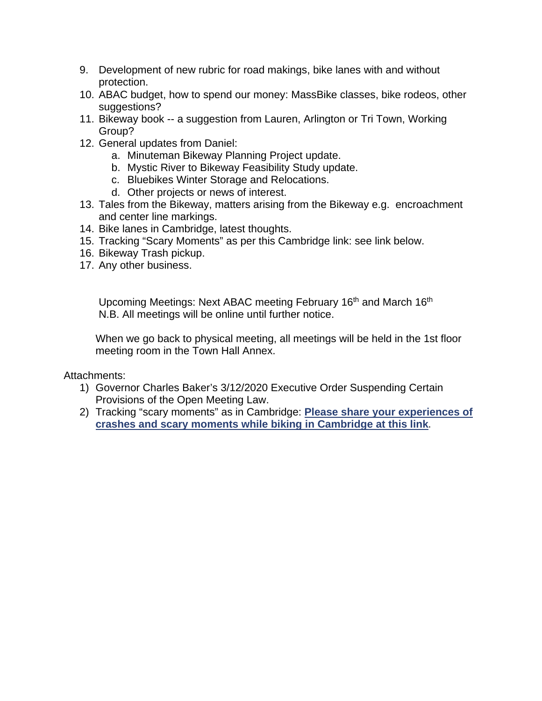- 9. Development of new rubric for road makings, bike lanes with and without protection.
- 10. ABAC budget, how to spend our money: MassBike classes, bike rodeos, other suggestions?
- 11. Bikeway book -- a suggestion from Lauren, Arlington or Tri Town, Working Group?
- 12. General updates from Daniel:
	- a. Minuteman Bikeway Planning Project update.
	- b. Mystic River to Bikeway Feasibility Study update.
	- c. Bluebikes Winter Storage and Relocations.
	- d. Other projects or news of interest.
- 13. Tales from the Bikeway, matters arising from the Bikeway e.g. encroachment and center line markings.
- 14. Bike lanes in Cambridge, latest thoughts.
- 15. Tracking "Scary Moments" as per this Cambridge link: see link below.
- 16. Bikeway Trash pickup.
- 17. Any other business.

Upcoming Meetings: Next ABAC meeting February 16<sup>th</sup> and March 16<sup>th</sup> N.B. All meetings will be online until further notice.

When we go back to physical meeting, all meetings will be held in the 1st floor meeting room in the Town Hall Annex.

Attachments:

- 1) Governor Charles Baker's 3/12/2020 Executive Order Suspending Certain Provisions of the Open Meeting Law.
- 2) Tracking "scary moments" as in Cambridge: **[Please share your experiences of](https://u1584542.ct.sendgrid.net/ss/c/A7GQnnr_XzUYyessq5BiRIuu_RX88pc-ksYgLA8LRUlWRYyYIV0JeKgDT8wjWNYaaqan5QwucmrCmqyDVUgBfISPAn6tDWK8D2459cbwpu6eZg1aVRNiMwikmW9-2_lSRsysGfci3y7W4KEmDIJGUS-XmQKVhG0axXFrDmJch3auff3P9NM2KPc6xPrYMRR0re70SLRl1Q6Dt-XkzuPReRIqJOPhQBKdWQJczIT6VbQ_I44kOMObSveQ5MbveBs9oDaaiax6CUqMDEn6Imz0WU28d3ViZZCSmvr2ZmY94WIIaBicEqkzji1HdMM8-JsY3UvYWIEqpV_882VPylmzrQ/3ie/6gt4bTQCTqiiiFPkp3yzgw/h0/Y5lT7N4PcvECq9uWlOiYgBjx0SYsoHtKNw859kX9I1s)  [crashes and scary moments while biking in Cambridge at this link.](https://u1584542.ct.sendgrid.net/ss/c/A7GQnnr_XzUYyessq5BiRIuu_RX88pc-ksYgLA8LRUlWRYyYIV0JeKgDT8wjWNYaaqan5QwucmrCmqyDVUgBfISPAn6tDWK8D2459cbwpu6eZg1aVRNiMwikmW9-2_lSRsysGfci3y7W4KEmDIJGUS-XmQKVhG0axXFrDmJch3auff3P9NM2KPc6xPrYMRR0re70SLRl1Q6Dt-XkzuPReRIqJOPhQBKdWQJczIT6VbQ_I44kOMObSveQ5MbveBs9oDaaiax6CUqMDEn6Imz0WU28d3ViZZCSmvr2ZmY94WIIaBicEqkzji1HdMM8-JsY3UvYWIEqpV_882VPylmzrQ/3ie/6gt4bTQCTqiiiFPkp3yzgw/h0/Y5lT7N4PcvECq9uWlOiYgBjx0SYsoHtKNw859kX9I1s)**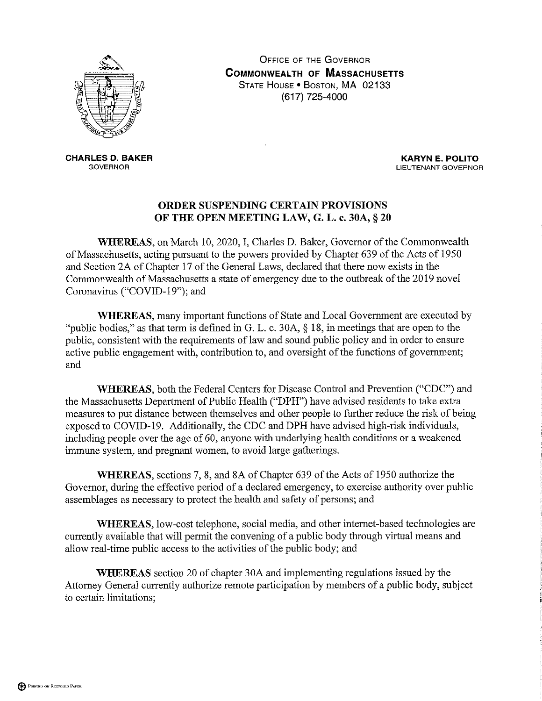

**OFFICE OF THE GOVERNOR COMMONWEALTH OF MASSACHUSETTS** STATE HOUSE . BOSTON, MA 02133 (617) 725-4000

**CHARLES D. BAKER GOVERNOR** 

**KARYN E. POLITO** LIEUTENANT GOVERNOR

#### ORDER SUSPENDING CERTAIN PROVISIONS OF THE OPEN MEETING LAW, G. L. c. 30A, § 20

WHEREAS, on March 10, 2020, I, Charles D. Baker, Governor of the Commonwealth of Massachusetts, acting pursuant to the powers provided by Chapter 639 of the Acts of 1950 and Section 2A of Chapter 17 of the General Laws, declared that there now exists in the Commonwealth of Massachusetts a state of emergency due to the outbreak of the 2019 novel Coronavirus ("COVID-19"); and

**WHEREAS**, many important functions of State and Local Government are executed by "public bodies," as that term is defined in G. L. c. 30A,  $\S$  18, in meetings that are open to the public, consistent with the requirements of law and sound public policy and in order to ensure active public engagement with, contribution to, and oversight of the functions of government; and

WHEREAS, both the Federal Centers for Disease Control and Prevention ("CDC") and the Massachusetts Department of Public Health ("DPH") have advised residents to take extra measures to put distance between themselves and other people to further reduce the risk of being exposed to COVID-19. Additionally, the CDC and DPH have advised high-risk individuals, including people over the age of 60, anyone with underlying health conditions or a weakened immune system, and pregnant women, to avoid large gatherings.

WHEREAS, sections 7, 8, and 8A of Chapter 639 of the Acts of 1950 authorize the Governor, during the effective period of a declared emergency, to exercise authority over public assemblages as necessary to protect the health and safety of persons; and

WHEREAS, low-cost telephone, social media, and other internet-based technologies are currently available that will permit the convening of a public body through virtual means and allow real-time public access to the activities of the public body; and

**WHEREAS** section 20 of chapter 30A and implementing regulations issued by the Attorney General currently authorize remote participation by members of a public body, subject to certain limitations;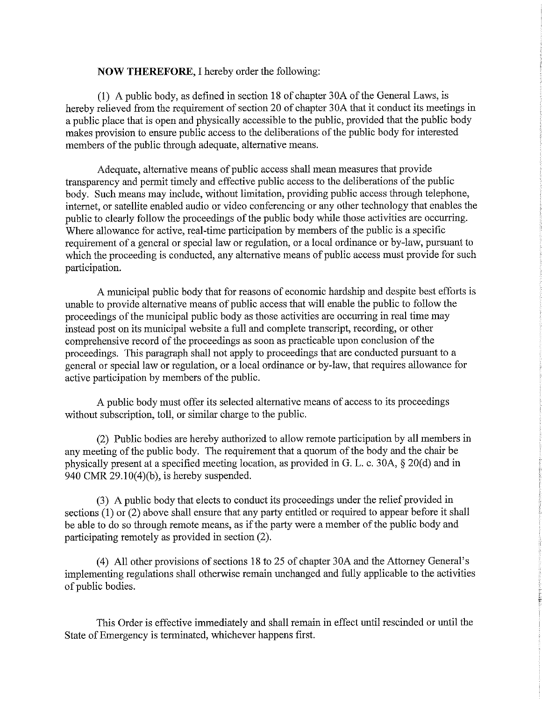#### **NOW THEREFORE, I hereby order the following:**

(1) A public body, as defined in section 18 of chapter 30A of the General Laws, is hereby relieved from the requirement of section 20 of chapter 30A that it conduct its meetings in a public place that is open and physically accessible to the public, provided that the public body makes provision to ensure public access to the deliberations of the public body for interested members of the public through adequate, alternative means.

Adequate, alternative means of public access shall mean measures that provide transparency and permit timely and effective public access to the deliberations of the public body. Such means may include, without limitation, providing public access through telephone, internet, or satellite enabled audio or video conferencing or any other technology that enables the public to clearly follow the proceedings of the public body while those activities are occurring. Where allowance for active, real-time participation by members of the public is a specific requirement of a general or special law or regulation, or a local ordinance or by-law, pursuant to which the proceeding is conducted, any alternative means of public access must provide for such participation.

A municipal public body that for reasons of economic hardship and despite best efforts is unable to provide alternative means of public access that will enable the public to follow the proceedings of the municipal public body as those activities are occurring in real time may instead post on its municipal website a full and complete transcript, recording, or other comprehensive record of the proceedings as soon as practicable upon conclusion of the proceedings. This paragraph shall not apply to proceedings that are conducted pursuant to a general or special law or regulation, or a local ordinance or by-law, that requires allowance for active participation by members of the public.

A public body must offer its selected alternative means of access to its proceedings without subscription, toll, or similar charge to the public.

(2) Public bodies are hereby authorized to allow remote participation by all members in any meeting of the public body. The requirement that a quorum of the body and the chair be physically present at a specified meeting location, as provided in G. L. c. 30A, § 20(d) and in 940 CMR  $29.10(4)(b)$ , is hereby suspended.

(3) A public body that elects to conduct its proceedings under the relief provided in sections  $(1)$  or  $(2)$  above shall ensure that any party entitled or required to appear before it shall be able to do so through remote means, as if the party were a member of the public body and participating remotely as provided in section (2).

(4) All other provisions of sections 18 to 25 of chapter 30A and the Attorney General's implementing regulations shall otherwise remain unchanged and fully applicable to the activities of public bodies.

This Order is effective immediately and shall remain in effect until rescinded or until the State of Emergency is terminated, whichever happens first.